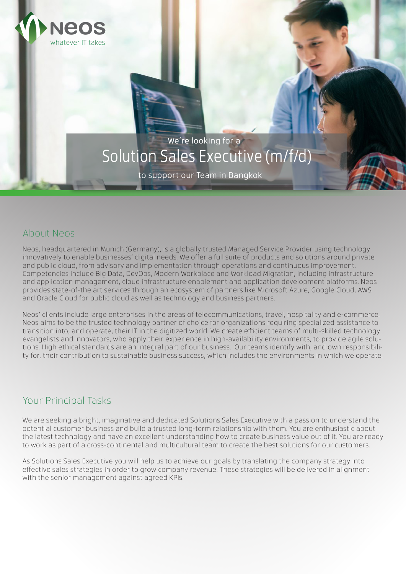

to support our Team in Bangkok

## About Neos

**NEOS** 

whatever IT takes

Neos, headquartered in Munich (Germany), is a globally trusted Managed Service Provider using technology innovatively to enable businesses' digital needs. We offer a full suite of products and solutions around private and public cloud, from advisory and implementation through operations and continuous improvement. Competencies include Big Data, DevOps, Modern Workplace and Workload Migration, including infrastructure and application management, cloud infrastructure enablement and application development platforms. Neos provides state-of-the art services through an ecosystem of partners like Microsoft Azure, Google Cloud, AWS and Oracle Cloud for public cloud as well as technology and business partners.

Neos' clients include large enterprises in the areas of telecommunications, travel, hospitality and e-commerce. Neos aims to be the trusted technology partner of choice for organizations requiring specialized assistance to transition into, and operate, their IT in the digitized world. We create efficient teams of multi-skilled technology evangelists and innovators, who apply their experience in high-availability environments, to provide agile solutions. High ethical standards are an integral part of our business. Our teams identify with, and own responsibility for, their contribution to sustainable business success, which includes the environments in which we operate.

# Your Principal Tasks

We are seeking a bright, imaginative and dedicated Solutions Sales Executive with a passion to understand the potential customer business and build a trusted long-term relationship with them. You are enthusiastic about the latest technology and have an excellent understanding how to create business value out of it. You are ready to work as part of a cross-continental and multicultural team to create the best solutions for our customers.

As Solutions Sales Executive you will help us to achieve our goals by translating the company strategy into effective sales strategies in order to grow company revenue. These strategies will be delivered in alignment with the senior management against agreed KPIs.